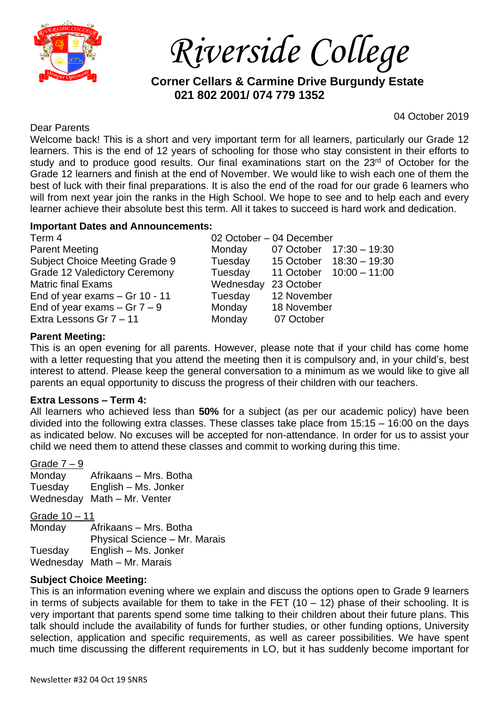

*Riverside College*

**Corner Cellars & Carmine Drive Burgundy Estate 021 802 2001/ 074 779 1352**

### Dear Parents

04 October 2019

Welcome back! This is a short and very important term for all learners, particularly our Grade 12 learners. This is the end of 12 years of schooling for those who stay consistent in their efforts to study and to produce good results. Our final examinations start on the 23<sup>rd</sup> of October for the Grade 12 learners and finish at the end of November. We would like to wish each one of them the best of luck with their final preparations. It is also the end of the road for our grade 6 learners who will from next year join the ranks in the High School. We hope to see and to help each and every learner achieve their absolute best this term. All it takes to succeed is hard work and dedication.

## **Important Dates and Announcements:**

| Term 4                               | 02 October - 04 December |                          |  |
|--------------------------------------|--------------------------|--------------------------|--|
| <b>Parent Meeting</b>                | Monday                   | 07 October 17:30 - 19:30 |  |
| Subject Choice Meeting Grade 9       | Tuesday                  | 15 October 18:30 - 19:30 |  |
| <b>Grade 12 Valedictory Ceremony</b> | Tuesday                  | 11 October 10:00 - 11:00 |  |
| <b>Matric final Exams</b>            | Wednesday                | 23 October               |  |
| End of year exams $-$ Gr 10 - 11     | Tuesday                  | 12 November              |  |
| End of year exams $-$ Gr $7 - 9$     | Monday                   | 18 November              |  |
| Extra Lessons Gr 7 - 11              | Monday                   | 07 October               |  |
|                                      |                          |                          |  |

## **Parent Meeting:**

This is an open evening for all parents. However, please note that if your child has come home with a letter requesting that you attend the meeting then it is compulsory and, in your child's, best interest to attend. Please keep the general conversation to a minimum as we would like to give all parents an equal opportunity to discuss the progress of their children with our teachers.

## **Extra Lessons – Term 4:**

All learners who achieved less than **50%** for a subject (as per our academic policy) have been divided into the following extra classes. These classes take place from 15:15 – 16:00 on the days as indicated below. No excuses will be accepted for non-attendance. In order for us to assist your child we need them to attend these classes and commit to working during this time.

#### Grade  $7 - 9$

Monday Afrikaans – Mrs. Botha Tuesday English – Ms. Jonker Wednesday Math – Mr. Venter

Grade 10 – 11

Monday Afrikaans – Mrs. Botha Physical Science – Mr. Marais Tuesday English – Ms. Jonker Wednesday Math – Mr. Marais

## **Subject Choice Meeting:**

This is an information evening where we explain and discuss the options open to Grade 9 learners in terms of subjects available for them to take in the FET  $(10 - 12)$  phase of their schooling. It is very important that parents spend some time talking to their children about their future plans. This talk should include the availability of funds for further studies, or other funding options, University selection, application and specific requirements, as well as career possibilities. We have spent much time discussing the different requirements in LO, but it has suddenly become important for